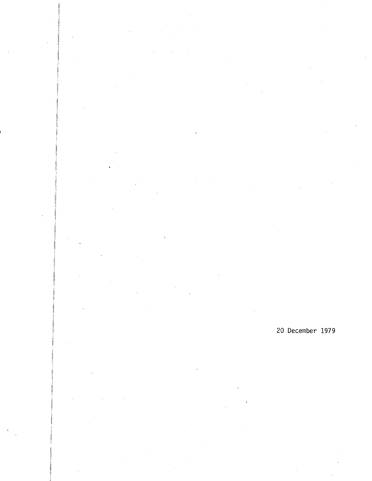20 December 1979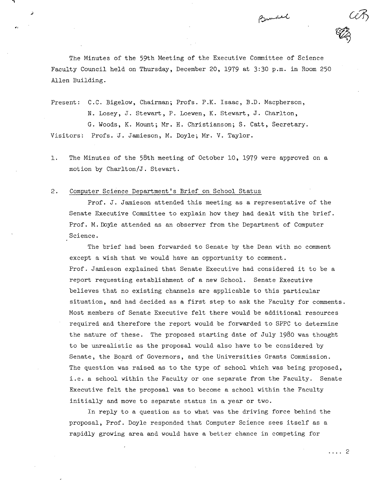The Minutes of the 59th Meeting of the Executive Committee of Science Faculty Council held on Thursday, December 20, 1979 at 3:30 p.m. in Room 250 Allen Building.

Bundel

Present: C.C. Bigelow, Chairman; Profs. P.K. Isaac, B.D. Macpherson,

N. Losey, J. Stewart, P. Loewen, K. Stewart, J. Charlton, G. Woods, K. Mount; Mr. H. Christianson; S. Catt, Secretary. Visitors: Profs. J. Jamieson, M. Doyle; Mr. V. Taylor.

The Minutes of the 58th meeting of October 10, 1979 were approved on a  $1.$ motion by Charlton/J. Stewart.

#### $2.$ Computer Science Department's Brief on School Status

Prof. J. Jamieson attended this meeting as a representative of the Senate Executive Committee to explain how they had dealt with the brief. Prof. M. Doyle attended as an observer from the Department of Computer Science.

The brief had been forwarded to Senate by the Dean with no comment except a wish that we would have an opportunity to comment. Prof. Jamieson explained that Senate Executive had considered it to be a report requesting establishment of a new School. Senate Executive believes that no existing channels are applicable to this particular situation, and had decided as a first step to ask the Faculty for comments. Most members of Senate Executive felt there would be additional resources required and therefore the report would be forwarded to SPPC to determine the nature of these. The proposed starting date of July 1980 was thought to be unrealistic as the proposal would also have to be considered by Senate, the Board of Governors, and the Universities Grants Commission. The question was raised as to the type of school which was being proposed, i.e. a school within the Faculty or one separate from the Faculty. Senate Executive felt the proposal was to become a school within the Faculty initially and move to separate status in a year or two.

In reply to a question as to what was the driving force behind the proposal, Prof. Doyle responded that Computer Science sees itself as a rapidly growing area and would have a better chance in competing for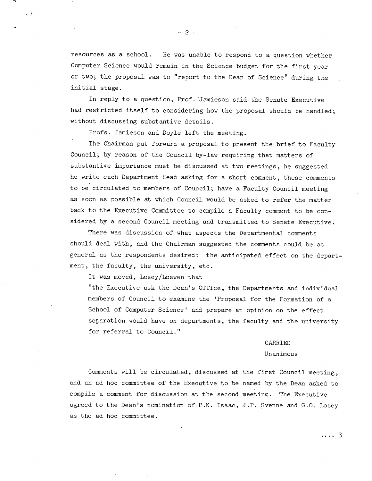resources as a school. He was unable to respond to a question whether Computer Science would remain in the Science budget for the first year or two; the proposal was to "report to the Dean of Science" during the initial stage.

In reply to a question, Prof. Jamieson said the Senate Executive had restricted itself to considering how the proposal should be handled; without discussing substantive details.

Profs. Jamieson and Doyle left the meeting.

The Chairman put forward a proposal to present the brief to Faculty Council; by reason of the Council by-law requiring that matters of substantive importance must be discussed at two meetings, he suggested he write each Department Head asking for a short comment, these comments to be circulated to members of Council; have a Faculty Council meeting as soon as possible at which Council would be asked to refer the matter back to the Executive Committee to compile a Faculty comment to be considered by a second Council meeting and transmitted to Senate Executive.

There was discussion of what aspects the Departmental comments should deal with, and the Chairman suggested the comments could be as general as the respondents desired: the anticipated effect on the department, the faculty, the university, etc.

It was moved, Losey/Loewen that

"the Executive ask the Dean's Office, the Departments and individual members of Council to examine the 'Proposal for the Formation of a School of Computer Science' and prepare an opinion on the effect separation would have on departments, the faculty and the university for referral to Council."

#### CARRIED

#### Unanimous

Comments will be circulated, discussed at the first Council meeting, and an ad hoc committee of the Executive to be named by the Dean asked to compile a comment for discussion at the second meeting. The Executive agreed to the Dean's nomination of P.K. Isaac, J.P. Svenne and G.O. Losey as the ad hoc committee.

 $\cdots$  3

-2-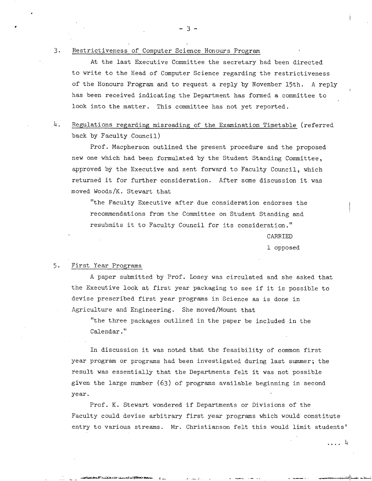### 3. Restrictiveness of Computer Science Honours Program

At the last Executive Committee the secretary had been directed to write to the Head of Computer Science regarding the restrictiveness of the Honours Program and to request a reply by November 15th. A reply has been received indicating the Department has formed a committee to look into the matter. This committee has not yet reported.

## 4• Regulations regarding misreading of the Examination Timetable (referred back by Faculty Council)

Prof. Macpherson outlined the present procedure and the proposed new one which had been formulated by the Student Standing Committee, approved by the Executive and sent forward to Faculty Council, which returned it for further consideration. After some discussion it was moved Woods/K. Stewart that

"the Faculty Executive after due consideration endorses the recommendations from the Committee on Student Standing and resubmits it to Faculty Council for its consideration." CARRIED

1 opposed

#### 5. First Year Programs

A paper submitted by Prof. Losey was circulated and she asked that the Executive look at first year packaging to see if it is possible to devise prescribed first year programs in Science as is done in Agriculture and Engineering. She moved/Mount that

"the three packages outlined in the paper be included in the Calendar."

In discussion it was noted that the feasibility of common first year program or programs had been investigated during last summer; the result was essentially that the Departments felt it was not possible given the large number (63) of programs available beginning in second year.

Prof. K. Stewart wondered if Departments or Divisions of the Faculty could devise arbitrary first year programs which would constitute entry to various streams. Mr. Christianson felt this would limit students'

. . . . 4

-

**S**-3-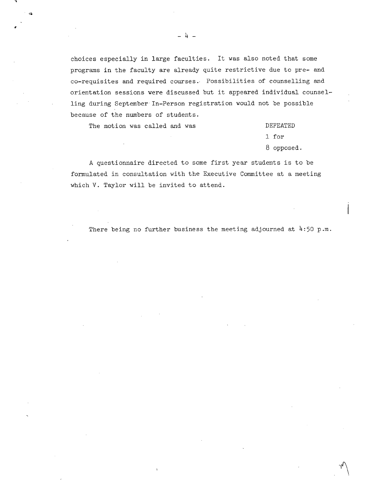choices especially in large faculties. It was also noted that some programs in the faculty are already quite restrictive due to pre- and co-requisites and required courses. Possibilities of counselling and orientation sessions were discussed but it appeared individual counselling during September In-Person registration would not be possible because of the numbers of students.

The motion was called and was  $\qquad \qquad$  DEFEATED

C.

1 for 8 opposed.

A questionnaire directed to some first year students is to be formulated in consultation with the Executive Committee at a meeting which V. Taylor will be invited to attend.

There being no further business the meeting adjourned at  $4:50$  p.m.